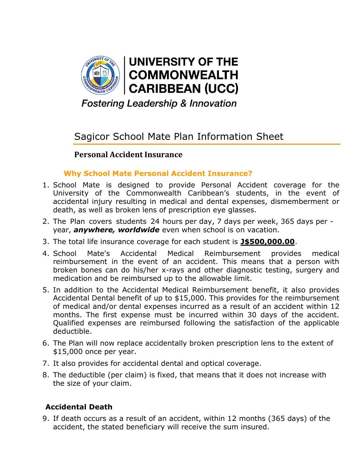

**Fostering Leadership & Innovation** 

# Sagicor School Mate Plan Information Sheet

## **Personal Accident Insurance**

#### **Why School Mate Personal Accident Insurance?**

- 1. School Mate is designed to provide Personal Accident coverage for the University of the Commonwealth Caribbean's students, in the event of accidental injury resulting in medical and dental expenses, dismemberment or death, as well as broken lens of prescription eye glasses.
- 2. The Plan covers students 24 hours per day, 7 days per week, 365 days per year, *anywhere, worldwide* even when school is on vacation.
- 3. The total life insurance coverage for each student is **J\$500,000.00**.
- 4. School Mate's Accidental Medical Reimbursement provides medical reimbursement in the event of an accident. This means that a person with broken bones can do his/her x-rays and other diagnostic testing, surgery and medication and be reimbursed up to the allowable limit.
- 5. In addition to the Accidental Medical Reimbursement benefit, it also provides Accidental Dental benefit of up to \$15,000. This provides for the reimbursement of medical and/or dental expenses incurred as a result of an accident within 12 months. The first expense must be incurred within 30 days of the accident. Qualified expenses are reimbursed following the satisfaction of the applicable deductible.
- 6. The Plan will now replace accidentally broken prescription lens to the extent of \$15,000 once per year.
- 7. It also provides for accidental dental and optical coverage.
- 8. The deductible (per claim) is fixed, that means that it does not increase with the size of your claim.

## **Accidental Death**

9. If death occurs as a result of an accident, within 12 months (365 days) of the accident, the stated beneficiary will receive the sum insured.